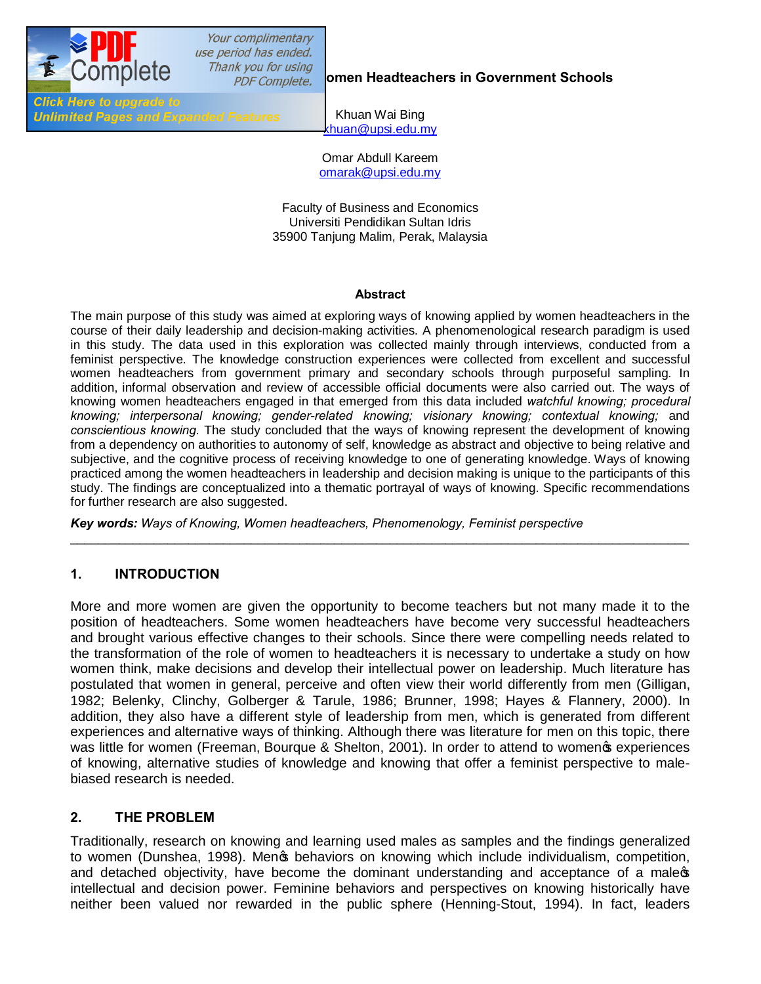

**Thank you for using and Headteachers in Government Schools** 

**Click Here to upgrade to Unlimited Pages and Expanded Features** 

Khuan Wai Bing khuan@upsi.edu.mv

Omar Abdull Kareem omarak@upsi.edu.my

Faculty of Business and Economics Universiti Pendidikan Sultan Idris 35900 Tanjung Malim, Perak, Malaysia

#### **Abstract**

The main purpose of this study was aimed at exploring ways of knowing applied by women headteachers in the course of their daily leadership and decision-making activities. A phenomenological research paradigm is used in this study. The data used in this exploration was collected mainly through interviews, conducted from a feminist perspective. The knowledge construction experiences were collected from excellent and successful women headteachers from government primary and secondary schools through purposeful sampling. In addition, informal observation and review of accessible official documents were also carried out. The ways of knowing women headteachers engaged in that emerged from this data included *watchful knowing; procedural knowing; interpersonal knowing; gender-related knowing; visionary knowing; contextual knowing;* and *conscientious knowing*. The study concluded that the ways of knowing represent the development of knowing from a dependency on authorities to autonomy of self, knowledge as abstract and objective to being relative and subjective, and the cognitive process of receiving knowledge to one of generating knowledge. Ways of knowing practiced among the women headteachers in leadership and decision making is unique to the participants of this study. The findings are conceptualized into a thematic portrayal of ways of knowing. Specific recommendations for further research are also suggested.

\_\_\_\_\_\_\_\_\_\_\_\_\_\_\_\_\_\_\_\_\_\_\_\_\_\_\_\_\_\_\_\_\_\_\_\_\_\_\_\_\_\_\_\_\_\_\_\_\_\_\_\_\_\_\_\_\_\_\_\_\_\_\_\_\_\_\_\_\_\_\_\_\_\_\_\_\_\_\_\_\_\_\_\_\_\_\_\_\_

*Key words: Ways of Knowing, Women headteachers, Phenomenology, Feminist perspective* 

### **1. INTRODUCTION**

More and more women are given the opportunity to become teachers but not many made it to the position of headteachers. Some women headteachers have become very successful headteachers and brought various effective changes to their schools. Since there were compelling needs related to the transformation of the role of women to headteachers it is necessary to undertake a study on how women think, make decisions and develop their intellectual power on leadership. Much literature has postulated that women in general, perceive and often view their world differently from men (Gilligan, 1982; Belenky, Clinchy, Golberger & Tarule, 1986; Brunner, 1998; Hayes & Flannery, 2000). In addition, they also have a different style of leadership from men, which is generated from different experiences and alternative ways of thinking. Although there was literature for men on this topic, there was little for women (Freeman, Bourque & Shelton, 2001). In order to attend to womeng experiences of knowing, alternative studies of knowledge and knowing that offer a feminist perspective to malebiased research is needed.

## **2. THE PROBLEM**

Traditionally, research on knowing and learning used males as samples and the findings generalized to women (Dunshea, 1998). Mengs behaviors on knowing which include individualism, competition, and detached objectivity, have become the dominant understanding and acceptance of a males intellectual and decision power. Feminine behaviors and perspectives on knowing historically have neither been valued nor rewarded in the public sphere (Henning-Stout, 1994). In fact, leaders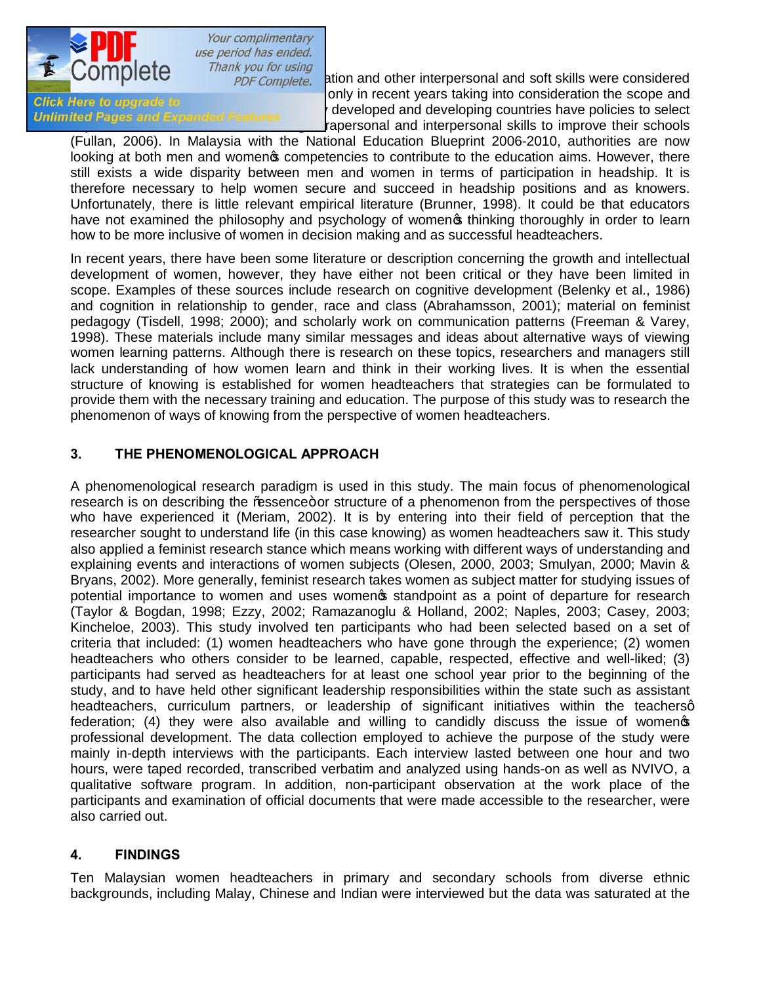

Thank you for using<br>**PDF Complete.** ation and other interpersonal and soft skills were considered et al., 2001) only in recent years taking into consideration the scope and<br>Click Here to upgrade to part if the to upgrade to<br>Unlimited Pages and Expanded Features and developed and developing countries have policies to select rapersonal and interpersonal skills to improve their schools

(Fullan, 2006). In Malaysia with the National Education Blueprint 2006-2010, authorities are now looking at both men and womenos competencies to contribute to the education aims. However, there still exists a wide disparity between men and women in terms of participation in headship. It is therefore necessary to help women secure and succeed in headship positions and as knowers. Unfortunately, there is little relevant empirical literature (Brunner, 1998). It could be that educators have not examined the philosophy and psychology of women thinking thoroughly in order to learn how to be more inclusive of women in decision making and as successful headteachers.

In recent years, there have been some literature or description concerning the growth and intellectual development of women, however, they have either not been critical or they have been limited in scope. Examples of these sources include research on cognitive development (Belenky et al., 1986) and cognition in relationship to gender, race and class (Abrahamsson, 2001); material on feminist pedagogy (Tisdell, 1998; 2000); and scholarly work on communication patterns (Freeman & Varey, 1998). These materials include many similar messages and ideas about alternative ways of viewing women learning patterns. Although there is research on these topics, researchers and managers still lack understanding of how women learn and think in their working lives. It is when the essential structure of knowing is established for women headteachers that strategies can be formulated to provide them with the necessary training and education. The purpose of this study was to research the phenomenon of ways of knowing from the perspective of women headteachers.

### **3. THE PHENOMENOLOGICAL APPROACH**

A phenomenological research paradigm is used in this study. The main focus of phenomenological research is on describing the % assence+ or structure of a phenomenon from the perspectives of those who have experienced it (Meriam, 2002). It is by entering into their field of perception that the researcher sought to understand life (in this case knowing) as women headteachers saw it. This study also applied a feminist research stance which means working with different ways of understanding and explaining events and interactions of women subjects (Olesen, 2000, 2003; Smulyan, 2000; Mavin & Bryans, 2002). More generally, feminist research takes women as subject matter for studying issues of potential importance to women and uses women standpoint as a point of departure for research (Taylor & Bogdan, 1998; Ezzy, 2002; Ramazanoglu & Holland, 2002; Naples, 2003; Casey, 2003; Kincheloe, 2003). This study involved ten participants who had been selected based on a set of criteria that included: (1) women headteachers who have gone through the experience; (2) women headteachers who others consider to be learned, capable, respected, effective and well-liked; (3) participants had served as headteachers for at least one school year prior to the beginning of the study, and to have held other significant leadership responsibilities within the state such as assistant headteachers, curriculum partners, or leadership of significant initiatives within the teachersq federation; (4) they were also available and willing to candidly discuss the issue of women  $\phi$ professional development. The data collection employed to achieve the purpose of the study were mainly in-depth interviews with the participants. Each interview lasted between one hour and two hours, were taped recorded, transcribed verbatim and analyzed using hands-on as well as NVIVO, a qualitative software program. In addition, non-participant observation at the work place of the participants and examination of official documents that were made accessible to the researcher, were also carried out.

### **4. FINDINGS**

Ten Malaysian women headteachers in primary and secondary schools from diverse ethnic backgrounds, including Malay, Chinese and Indian were interviewed but the data was saturated at the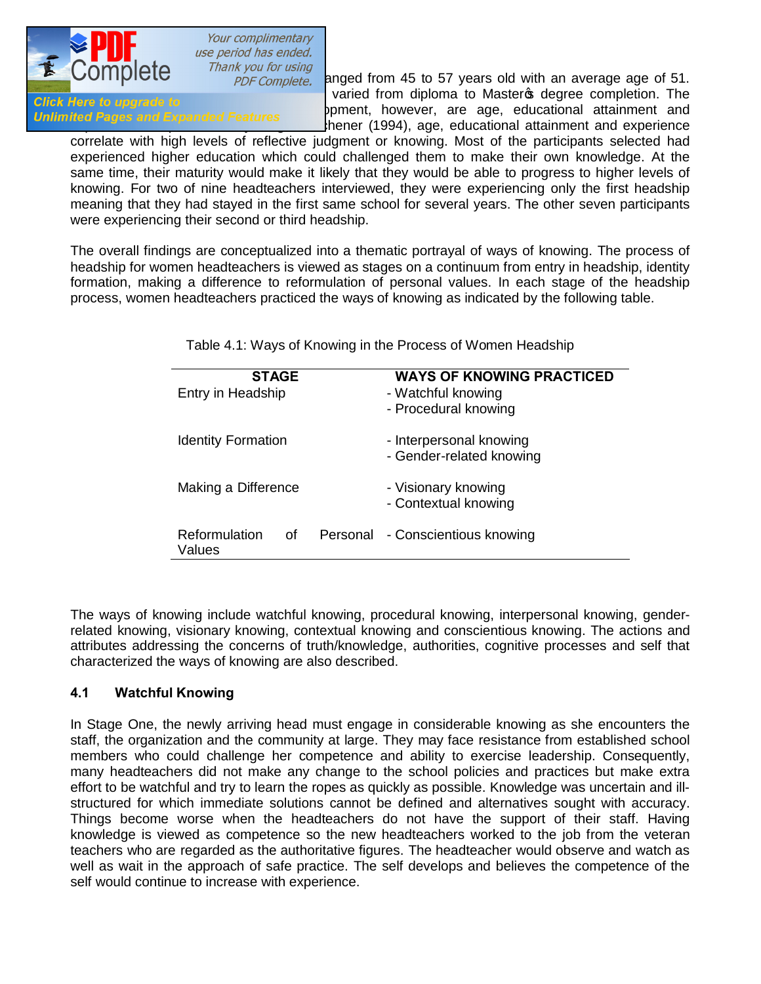

Thank you for using<br>PDF Complete. anged from 45 to 57 years old with an average age of 51. [The educational level of the participants](http://www.pdfcomplete.com/cms/hppl/tabid/108/Default.aspx?r=q8b3uige22) varied from diploma to Master stage completion. The contract of the participants in the participants of the participants of the participants of the participants of the participants First risk to applicate to care most relevant to career to cape. The career development and containment and containing the career of career development and containing and containing and containing and containing and contai thener (1994), age, educational attainment and experience

correlate with high levels of reflective judgment or knowing. Most of the participants selected had experienced higher education which could challenged them to make their own knowledge. At the same time, their maturity would make it likely that they would be able to progress to higher levels of knowing. For two of nine headteachers interviewed, they were experiencing only the first headship meaning that they had stayed in the first same school for several years. The other seven participants were experiencing their second or third headship.

The overall findings are conceptualized into a thematic portrayal of ways of knowing. The process of headship for women headteachers is viewed as stages on a continuum from entry in headship, identity formation, making a difference to reformulation of personal values. In each stage of the headship process, women headteachers practiced the ways of knowing as indicated by the following table.

Table 4.1: Ways of Knowing in the Process of Women Headship

| <b>STAGE</b><br>Entry in Headship | <b>WAYS OF KNOWING PRACTICED</b><br>- Watchful knowing<br>- Procedural knowing |
|-----------------------------------|--------------------------------------------------------------------------------|
| <b>Identity Formation</b>         | - Interpersonal knowing<br>- Gender-related knowing                            |
| Making a Difference               | - Visionary knowing<br>- Contextual knowing                                    |
| Reformulation<br>of<br>Values     | Personal - Conscientious knowing                                               |

The ways of knowing include watchful knowing, procedural knowing, interpersonal knowing, genderrelated knowing, visionary knowing, contextual knowing and conscientious knowing. The actions and attributes addressing the concerns of truth/knowledge, authorities, cognitive processes and self that characterized the ways of knowing are also described.

### **4.1 Watchful Knowing**

In Stage One, the newly arriving head must engage in considerable knowing as she encounters the staff, the organization and the community at large. They may face resistance from established school members who could challenge her competence and ability to exercise leadership. Consequently, many headteachers did not make any change to the school policies and practices but make extra effort to be watchful and try to learn the ropes as quickly as possible. Knowledge was uncertain and illstructured for which immediate solutions cannot be defined and alternatives sought with accuracy. Things become worse when the headteachers do not have the support of their staff. Having knowledge is viewed as competence so the new headteachers worked to the job from the veteran teachers who are regarded as the authoritative figures. The headteacher would observe and watch as well as wait in the approach of safe practice. The self develops and believes the competence of the self would continue to increase with experience.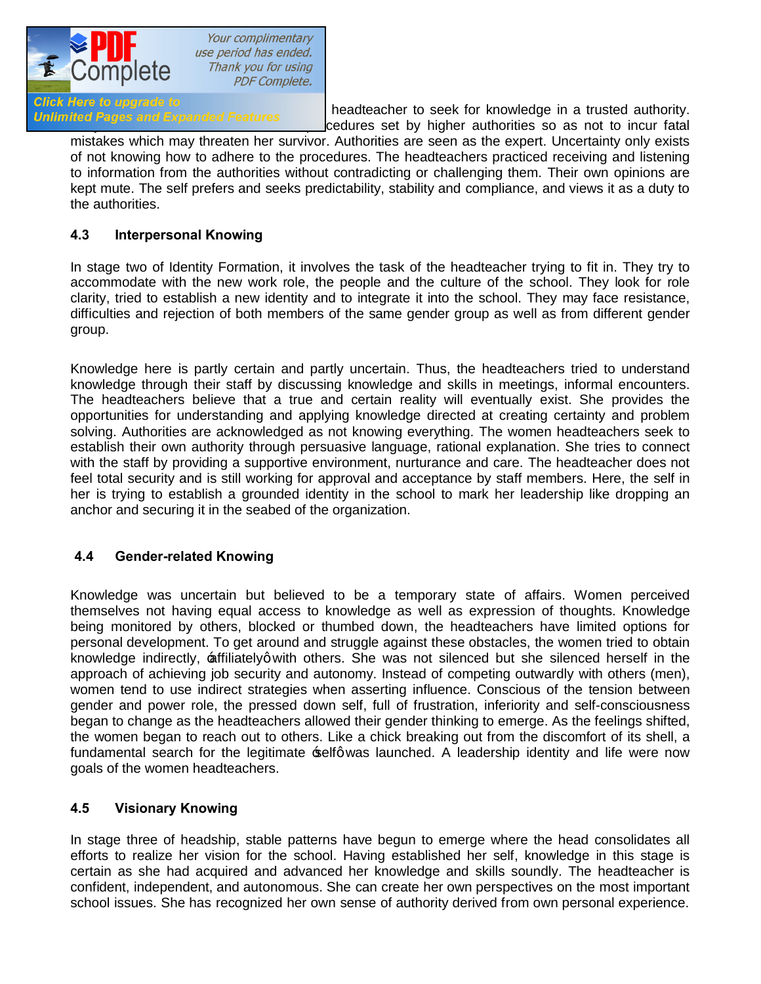

Click Here to upgrade to<br>Unlimited Pages and Expanded Features<br>Conductors and the history fatal in the history of the history of the history fatal cedures set by higher authorities so as not to incur fatal

mistakes which may threaten her survivor. Authorities are seen as the expert. Uncertainty only exists of not knowing how to adhere to the procedures. The headteachers practiced receiving and listening to information from the authorities without contradicting or challenging them. Their own opinions are kept mute. The self prefers and seeks predictability, stability and compliance, and views it as a duty to the authorities.

## **4.3 Interpersonal Knowing**

In stage two of Identity Formation, it involves the task of the headteacher trying to fit in. They try to accommodate with the new work role, the people and the culture of the school. They look for role clarity, tried to establish a new identity and to integrate it into the school. They may face resistance, difficulties and rejection of both members of the same gender group as well as from different gender group.

Knowledge here is partly certain and partly uncertain. Thus, the headteachers tried to understand knowledge through their staff by discussing knowledge and skills in meetings, informal encounters. The headteachers believe that a true and certain reality will eventually exist. She provides the opportunities for understanding and applying knowledge directed at creating certainty and problem solving. Authorities are acknowledged as not knowing everything. The women headteachers seek to establish their own authority through persuasive language, rational explanation. She tries to connect with the staff by providing a supportive environment, nurturance and care. The headteacher does not feel total security and is still working for approval and acceptance by staff members. Here, the self in her is trying to establish a grounded identity in the school to mark her leadership like dropping an anchor and securing it in the seabed of the organization.

## **4.4 Gender-related Knowing**

Knowledge was uncertain but believed to be a temporary state of affairs. Women perceived themselves not having equal access to knowledge as well as expression of thoughts. Knowledge being monitored by others, blocked or thumbed down, the headteachers have limited options for personal development. To get around and struggle against these obstacles, the women tried to obtain knowledge indirectly, affiliatelyg with others. She was not silenced but she silenced herself in the approach of achieving job security and autonomy. Instead of competing outwardly with others (men), women tend to use indirect strategies when asserting influence. Conscious of the tension between gender and power role, the pressed down self, full of frustration, inferiority and self-consciousness began to change as the headteachers allowed their gender thinking to emerge. As the feelings shifted, the women began to reach out to others. Like a chick breaking out from the discomfort of its shell, a fundamental search for the legitimate selfq was launched. A leadership identity and life were now goals of the women headteachers.

## **4.5 Visionary Knowing**

In stage three of headship, stable patterns have begun to emerge where the head consolidates all efforts to realize her vision for the school. Having established her self, knowledge in this stage is certain as she had acquired and advanced her knowledge and skills soundly. The headteacher is confident, independent, and autonomous. She can create her own perspectives on the most important school issues. She has recognized her own sense of authority derived from own personal experience.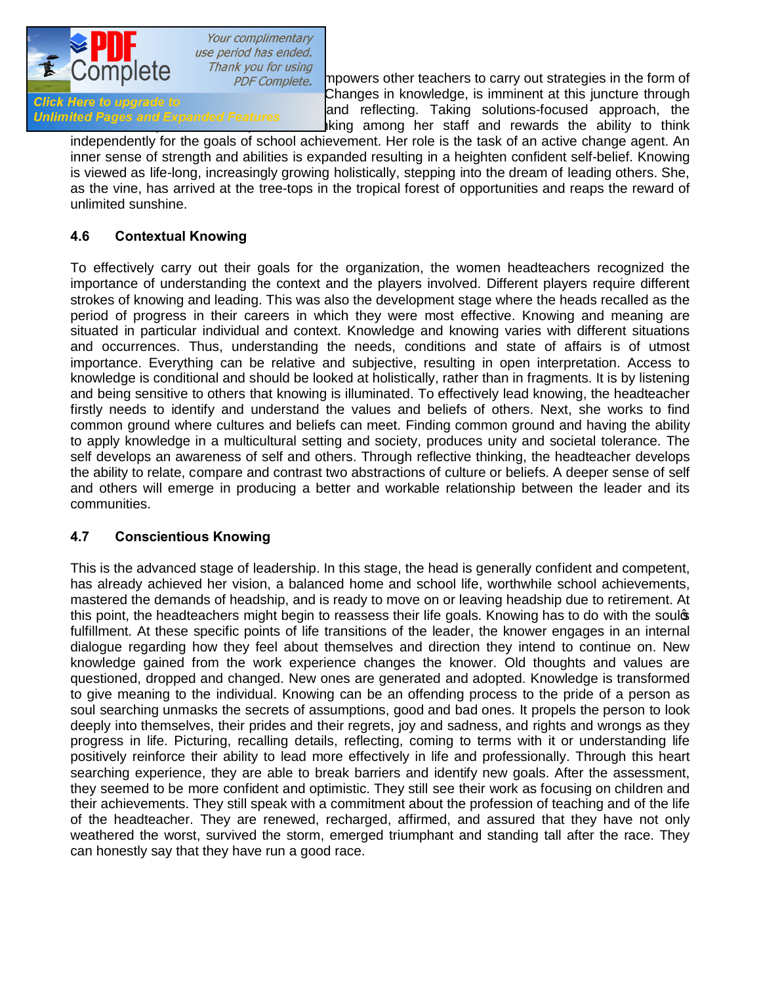

Thank you for using<br>PDF Complete. **The prowers other teachers to carry out strategies in the form of Changes in knowledge, is imminent at this juncture through Click Here to upgrade to** the process of observing and reflecting. Taking solutions-focused approach, the unimited Pages and Expanded Features iking among her staff and rewards the ability to think

independently for the goals of school achievement. Her role is the task of an active change agent. An inner sense of strength and abilities is expanded resulting in a heighten confident self-belief. Knowing is viewed as life-long, increasingly growing holistically, stepping into the dream of leading others. She, as the vine, has arrived at the tree-tops in the tropical forest of opportunities and reaps the reward of unlimited sunshine.

# **4.6 Contextual Knowing**

To effectively carry out their goals for the organization, the women headteachers recognized the importance of understanding the context and the players involved. Different players require different strokes of knowing and leading. This was also the development stage where the heads recalled as the period of progress in their careers in which they were most effective. Knowing and meaning are situated in particular individual and context. Knowledge and knowing varies with different situations and occurrences. Thus, understanding the needs, conditions and state of affairs is of utmost importance. Everything can be relative and subjective, resulting in open interpretation. Access to knowledge is conditional and should be looked at holistically, rather than in fragments. It is by listening and being sensitive to others that knowing is illuminated. To effectively lead knowing, the headteacher firstly needs to identify and understand the values and beliefs of others. Next, she works to find common ground where cultures and beliefs can meet. Finding common ground and having the ability to apply knowledge in a multicultural setting and society, produces unity and societal tolerance. The self develops an awareness of self and others. Through reflective thinking, the headteacher develops the ability to relate, compare and contrast two abstractions of culture or beliefs. A deeper sense of self and others will emerge in producing a better and workable relationship between the leader and its communities.

### **4.7 Conscientious Knowing**

This is the advanced stage of leadership. In this stage, the head is generally confident and competent, has already achieved her vision, a balanced home and school life, worthwhile school achievements, mastered the demands of headship, and is ready to move on or leaving headship due to retirement. At this point, the headteachers might begin to reassess their life goals. Knowing has to do with the soulos fulfillment. At these specific points of life transitions of the leader, the knower engages in an internal dialogue regarding how they feel about themselves and direction they intend to continue on. New knowledge gained from the work experience changes the knower. Old thoughts and values are questioned, dropped and changed. New ones are generated and adopted. Knowledge is transformed to give meaning to the individual. Knowing can be an offending process to the pride of a person as soul searching unmasks the secrets of assumptions, good and bad ones. It propels the person to look deeply into themselves, their prides and their regrets, joy and sadness, and rights and wrongs as they progress in life. Picturing, recalling details, reflecting, coming to terms with it or understanding life positively reinforce their ability to lead more effectively in life and professionally. Through this heart searching experience, they are able to break barriers and identify new goals. After the assessment, they seemed to be more confident and optimistic. They still see their work as focusing on children and their achievements. They still speak with a commitment about the profession of teaching and of the life of the headteacher. They are renewed, recharged, affirmed, and assured that they have not only weathered the worst, survived the storm, emerged triumphant and standing tall after the race. They can honestly say that they have run a good race.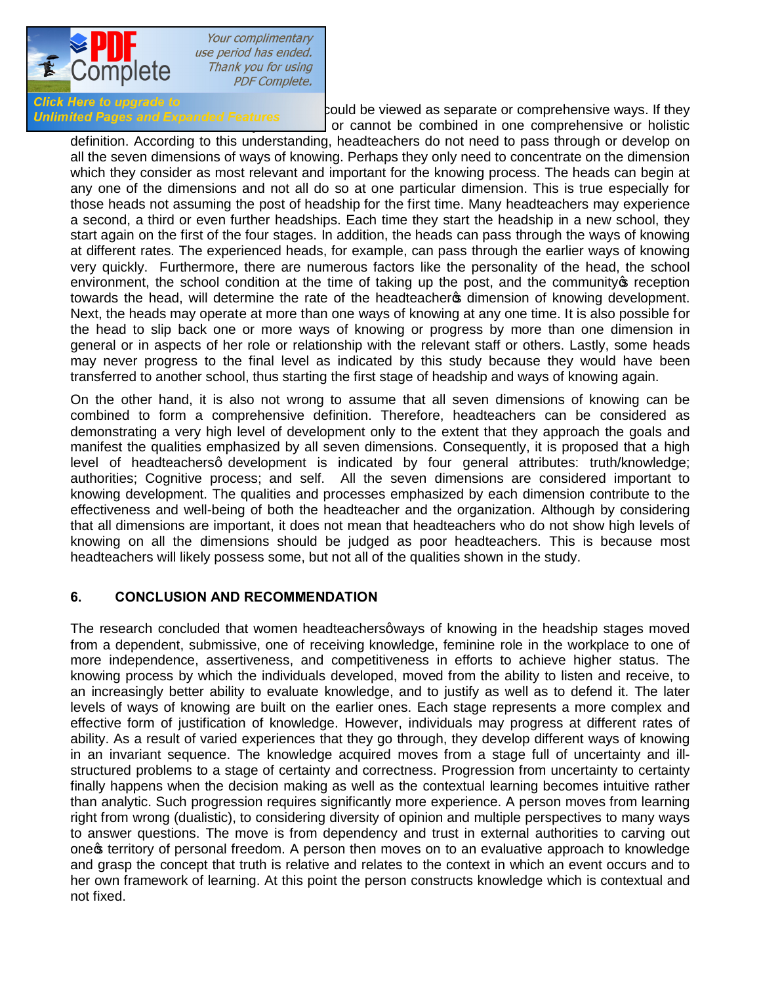

Your complimentary use period has ended. Thank you for using **PDF Complete.** 

Click Here to upgrade to<br>Unlimited Pages and Expanded Features<br>Notice as a separate to a separate or comprehensive ways. If they or cannot be combined in one comprehensive or holistic

definition. According to this understanding, headteachers do not need to pass through or develop on all the seven dimensions of ways of knowing. Perhaps they only need to concentrate on the dimension which they consider as most relevant and important for the knowing process. The heads can begin at any one of the dimensions and not all do so at one particular dimension. This is true especially for those heads not assuming the post of headship for the first time. Many headteachers may experience a second, a third or even further headships. Each time they start the headship in a new school, they start again on the first of the four stages. In addition, the heads can pass through the ways of knowing at different rates. The experienced heads, for example, can pass through the earlier ways of knowing very quickly. Furthermore, there are numerous factors like the personality of the head, the school environment, the school condition at the time of taking up the post, and the community  $\mathfrak s$  reception towards the head, will determine the rate of the headteachers dimension of knowing development. Next, the heads may operate at more than one ways of knowing at any one time. It is also possible for the head to slip back one or more ways of knowing or progress by more than one dimension in general or in aspects of her role or relationship with the relevant staff or others. Lastly, some heads may never progress to the final level as indicated by this study because they would have been transferred to another school, thus starting the first stage of headship and ways of knowing again.

On the other hand, it is also not wrong to assume that all seven dimensions of knowing can be combined to form a comprehensive definition. Therefore, headteachers can be considered as demonstrating a very high level of development only to the extent that they approach the goals and manifest the qualities emphasized by all seven dimensions. Consequently, it is proposed that a high level of headteachersg development is indicated by four general attributes: truth/knowledge; authorities; Cognitive process; and self. All the seven dimensions are considered important to knowing development. The qualities and processes emphasized by each dimension contribute to the effectiveness and well-being of both the headteacher and the organization. Although by considering that all dimensions are important, it does not mean that headteachers who do not show high levels of knowing on all the dimensions should be judged as poor headteachers. This is because most headteachers will likely possess some, but not all of the qualities shown in the study.

### **6. CONCLUSION AND RECOMMENDATION**

The research concluded that women headteachers qways of knowing in the headship stages moved from a dependent, submissive, one of receiving knowledge, feminine role in the workplace to one of more independence, assertiveness, and competitiveness in efforts to achieve higher status. The knowing process by which the individuals developed, moved from the ability to listen and receive, to an increasingly better ability to evaluate knowledge, and to justify as well as to defend it. The later levels of ways of knowing are built on the earlier ones. Each stage represents a more complex and effective form of justification of knowledge. However, individuals may progress at different rates of ability. As a result of varied experiences that they go through, they develop different ways of knowing in an invariant sequence. The knowledge acquired moves from a stage full of uncertainty and illstructured problems to a stage of certainty and correctness. Progression from uncertainty to certainty finally happens when the decision making as well as the contextual learning becomes intuitive rather than analytic. Such progression requires significantly more experience. A person moves from learning right from wrong (dualistic), to considering diversity of opinion and multiple perspectives to many ways to answer questions. The move is from dependency and trust in external authorities to carving out one's territory of personal freedom. A person then moves on to an evaluative approach to knowledge and grasp the concept that truth is relative and relates to the context in which an event occurs and to her own framework of learning. At this point the person constructs knowledge which is contextual and not fixed.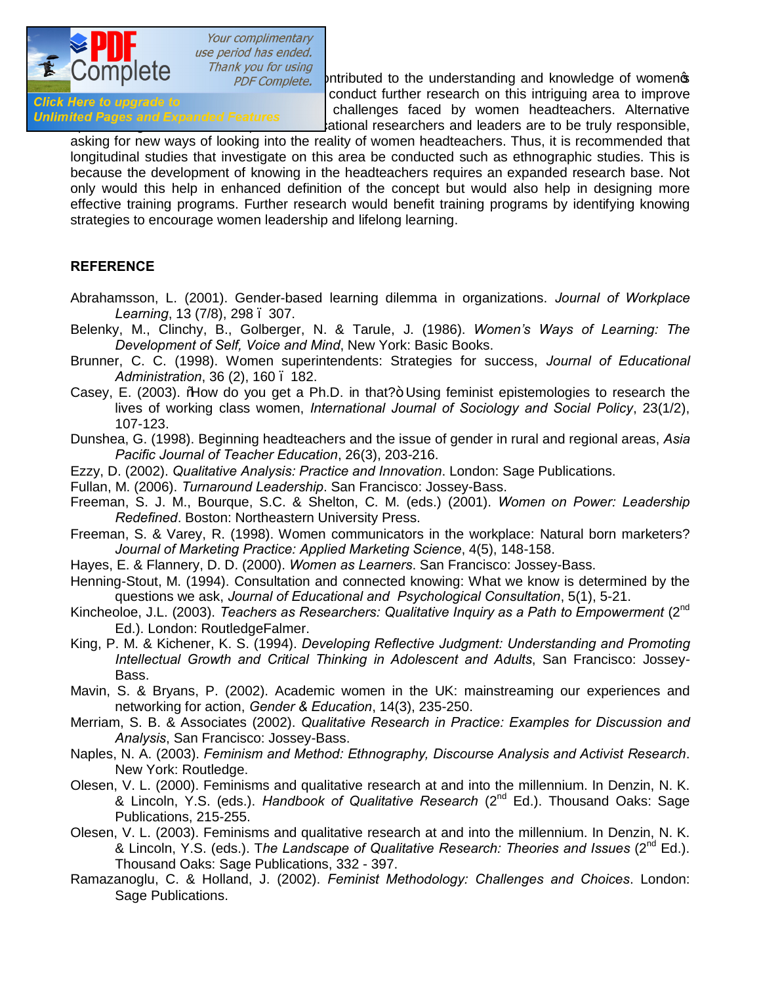

 $\overline{\text{10}}$   $\overline{\text{10}}$   $\overline{\text{10}}$   $\overline{\text{10}}$   $\overline{\text{10}}$   $\overline{\text{10}}$   $\overline{\text{10}}$   $\overline{\text{10}}$   $\overline{\text{10}}$   $\overline{\text{10}}$   $\overline{\text{10}}$   $\overline{\text{10}}$   $\overline{\text{10}}$   $\overline{\text{10}}$   $\overline{\text{10}}$   $\overline{\text{10}}$   $\overline{\text{10}}$   $\overline{\text{10}}$   $\overline{\$ example was a new state of the conduct further research on this intriguing area to improve<br>Click Here to upgrade to understanding and approach of the challenges faced by women headteachers. Alternative Unlimited Pages and Expanded Features ational researchers and leaders are to be truly responsible,

asking for new ways of looking into the reality of women headteachers. Thus, it is recommended that longitudinal studies that investigate on this area be conducted such as ethnographic studies. This is because the development of knowing in the headteachers requires an expanded research base. Not only would this help in enhanced definition of the concept but would also help in designing more effective training programs. Further research would benefit training programs by identifying knowing strategies to encourage women leadership and lifelong learning.

### **REFERENCE**

- Abrahamsson, L. (2001). Gender-based learning dilemma in organizations. *Journal of Workplace Learning*, 13 (7/8), 298 – 307.
- Belenky, M., Clinchy, B., Golberger, N. & Tarule, J. (1986). *Women's Ways of Learning: The Development of Self, Voice and Mind*, New York: Basic Books.
- Brunner, C. C. (1998). Women superintendents: Strategies for success, *Journal of Educational Administration*, 36 (2), 160 – 182.
- Casey, E. (2003). How do you get a Ph.D. in that?+ Using feminist epistemologies to research the lives of working class women, *International Journal of Sociology and Social Policy*, 23(1/2), 107-123.
- Dunshea, G. (1998). Beginning headteachers and the issue of gender in rural and regional areas, *Asia Pacific Journal of Teacher Education*, 26(3), 203-216.
- Ezzy, D. (2002). *Qualitative Analysis: Practice and Innovation*. London: Sage Publications.
- Fullan, M. (2006). *Turnaround Leadership*. San Francisco: Jossey-Bass.
- Freeman, S. J. M., Bourque, S.C. & Shelton, C. M. (eds.) (2001). *Women on Power: Leadership Redefined*. Boston: Northeastern University Press.
- Freeman, S. & Varey, R. (1998). Women communicators in the workplace: Natural born marketers? *Journal of Marketing Practice: Applied Marketing Science*, 4(5), 148-158.
- Hayes, E. & Flannery, D. D. (2000). *Women as Learners*. San Francisco: Jossey-Bass.
- Henning-Stout, M. (1994). Consultation and connected knowing: What we know is determined by the questions we ask, *Journal of Educational and Psychological Consultation*, 5(1), 5-21.
- Kincheoloe, J.L. (2003). *Teachers as Researchers: Qualitative Inquiry as a Path to Empowerment* (2nd Ed.). London: RoutledgeFalmer.
- King, P. M. & Kichener, K. S. (1994). *Developing Reflective Judgment: Understanding and Promoting Intellectual Growth and Critical Thinking in Adolescent and Adults*, San Francisco: Jossey-Bass.
- Mavin, S. & Bryans, P. (2002). Academic women in the UK: mainstreaming our experiences and networking for action, *Gender & Education*, 14(3), 235-250.
- Merriam, S. B. & Associates (2002). *Qualitative Research in Practice: Examples for Discussion and Analysis*, San Francisco: Jossey-Bass.
- Naples, N. A. (2003). *Feminism and Method: Ethnography, Discourse Analysis and Activist Research*. New York: Routledge.
- Olesen, V. L. (2000). Feminisms and qualitative research at and into the millennium. In Denzin, N. K. & Lincoln, Y.S. (eds.). *Handbook of Qualitative Research* (2nd Ed.). Thousand Oaks: Sage Publications, 215-255.
- Olesen, V. L. (2003). Feminisms and qualitative research at and into the millennium. In Denzin, N. K. & Lincoln, Y.S. (eds.). T*he Landscape of Qualitative Research: Theories and Issues* (2nd Ed.). Thousand Oaks: Sage Publications, 332 - 397.
- Ramazanoglu, C. & Holland, J. (2002). *Feminist Methodology: Challenges and Choices*. London: Sage Publications.